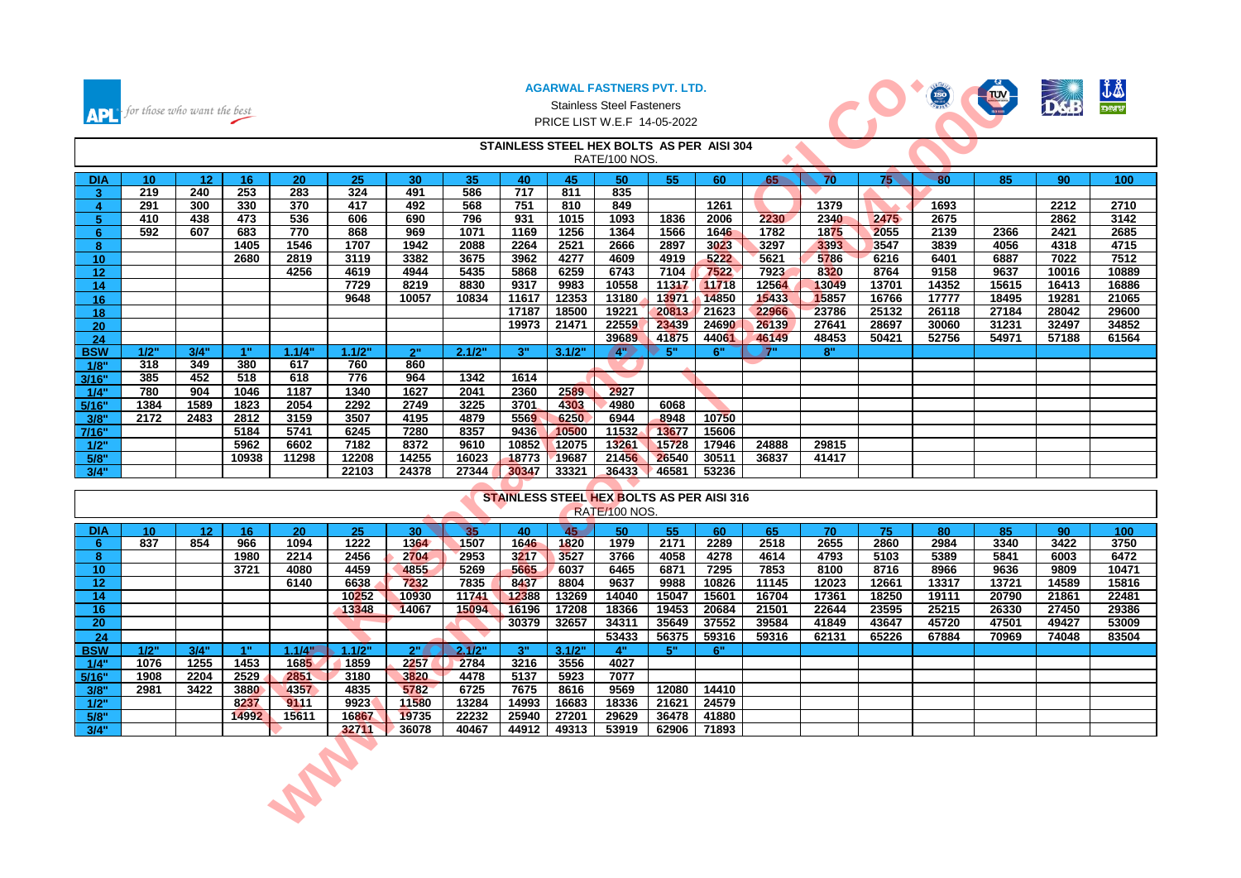

#### Stainless Steel Fasteners PRICE LIST W.E.F 14-05-2022



| <b>APL</b>   | for those who want the best |                 |       |        |                |                |                |                |                | AGARWAL FASTNERS PVT. LTD.<br><b>Stainless Steel Fasteners</b><br>PRICE LIST W.E.F 14-05-2022 |                           |                |                  |                |                 | ISO            | <b>THE</b>     |                | J\$            |
|--------------|-----------------------------|-----------------|-------|--------|----------------|----------------|----------------|----------------|----------------|-----------------------------------------------------------------------------------------------|---------------------------|----------------|------------------|----------------|-----------------|----------------|----------------|----------------|----------------|
|              |                             |                 |       |        |                |                |                |                |                | STAINLESS STEEL HEX BOLTS AS PER AISI 304<br>RATE/100 NOS.                                    |                           |                | $\blacktriangle$ |                |                 |                |                |                |                |
| <b>DIA</b>   | 10 <sub>1</sub>             | 12              | 16    | 20     | 25             | 30             | 35             | 40             | 45             | 50                                                                                            | 55                        | 60             | 65               | 70             | 75 <sub>1</sub> | 80             | 85             | 90             | 100            |
| 3            | 219                         | 240             | 253   | 283    | 324            | 491            | 586            | 717            | 811            | 835                                                                                           |                           |                |                  |                |                 |                |                |                |                |
| 4            | 291                         | 300             | 330   | 370    | 417            | 492            | 568            | 751            | 810            | 849                                                                                           |                           | 1261           |                  | 1379           |                 | 1693           |                | 2212           | 2710           |
| 5            | 410                         | 438             | 473   | 536    | 606            | 690            | 796            | 931            | 1015           | 1093                                                                                          | 1836                      | 2006           | 2230             | 2340           | 2475            | 2675           |                | 2862           | 3142           |
| 6            | 592                         | 607             | 683   | 770    | 868            | 969            | 1071           | 1169           | 1256           | 1364                                                                                          | 1566                      | 1646           | 1782             | 1875           | 2055            | 2139           | 2366           | 2421           | 2685           |
| 8            |                             |                 | 1405  | 1546   | 1707           | 1942           | 2088           | 2264           | 2521           | 2666                                                                                          | 2897                      | 3023           | 3297             | 3393           | 3547            | 3839           | 4056           | 4318           | 4715           |
| 10           |                             |                 | 2680  | 2819   | 3119           | 3382           | 3675           | 3962           | 4277           | 4609                                                                                          | 4919                      | 5222           | 5621             | 5786           | 6216            | 6401           | 6887           | 7022           | 7512           |
| 12           |                             |                 |       | 4256   | 4619<br>7729   | 4944<br>8219   | 5435<br>8830   | 5868<br>9317   | 6259           | 6743<br>10558                                                                                 | 7104                      | 7522           | 7923<br>12564    | 8320<br>13049  | 8764<br>13701   | 9158<br>14352  | 9637           | 10016<br>16413 | 10889<br>16886 |
| 14<br>16     |                             |                 |       |        | 9648           | 10057          | 10834          | 11617          | 9983<br>12353  | 13180                                                                                         | 11317<br>13971            | 11718<br>14850 | 15433            | 15857          | 16766           | 17777          | 15615<br>18495 | 19281          | 21065          |
| 18           |                             |                 |       |        |                |                |                | 17187          | 18500          | 19221                                                                                         | 20813                     | 21623          | 22966            | 23786          | 25132           | 26118          | 27184          | 28042          | 29600          |
| 20           |                             |                 |       |        |                |                |                | 19973          | 21471          | 22559                                                                                         | 23439                     | 24690          | 26139            | 27641          | 28697           | 30060          | 31231          | 32497          | 34852          |
| 24           |                             |                 |       |        |                |                |                |                |                | 39689                                                                                         | 41875                     | 44061          | 46149            | 48453          | 50421           | 52756          | 54971          | 57188          | 61564          |
| <b>BSW</b>   | 1/2"                        | 3/4"            | 1"    | 1.1/4" | 1.1/2"         | 2"             | 2.1/2"         | 3"             | 3.1/2"         | 4"                                                                                            | $\blacktriangleright$ 5". | 6"             | 7"               | 8"             |                 |                |                |                |                |
| 1/8"         | 318                         | 349             | 380   | 617    | 760            | 860            |                |                |                |                                                                                               |                           |                |                  |                |                 |                |                |                |                |
| 3/16"        | 385                         | 452             | 518   | 618    | 776            | 964            | 1342           | 1614           |                |                                                                                               |                           |                |                  |                |                 |                |                |                |                |
| 1/4"         | 780                         | 904             | 1046  | 1187   | 1340           | 1627           | 2041           | 2360           | 2589           | 2927                                                                                          |                           |                |                  |                |                 |                |                |                |                |
| 5/16"        | 1384                        | 1589            | 1823  | 2054   | 2292           | 2749           | 3225           | 3701           | 4303           | 4980                                                                                          | 6068                      |                |                  |                |                 |                |                |                |                |
| 3/8"         | 2172                        | 2483            | 2812  | 3159   | 3507           | 4195           | 4879           | 5569           | 6250           | 6944                                                                                          | 8948                      | 10750          |                  |                |                 |                |                |                |                |
| 7/16"        |                             |                 | 5184  | 5741   | 6245           | 7280           | 8357           | 9436           | 10500          | 11532                                                                                         | 13677                     | 15606          |                  |                |                 |                |                |                |                |
| 1/2"         |                             |                 | 5962  | 6602   | 7182           | 8372           | 9610           | 10852          | 12075          | 13261                                                                                         | 15728                     | 17946          | 24888            | 29815          |                 |                |                |                |                |
| 5/8"<br>3/4" |                             |                 | 10938 | 11298  | 12208<br>22103 | 14255<br>24378 | 16023<br>27344 | 18773<br>30347 | 19687<br>33321 | 21456<br>36433                                                                                | 26540<br>46581            | 30511<br>53236 | 36837            | 41417          |                 |                |                |                |                |
|              |                             |                 |       |        |                |                |                |                |                |                                                                                               |                           |                |                  |                |                 |                |                |                |                |
|              |                             |                 |       |        |                |                |                |                |                | <b>STAINLESS STEEL HEX BOLTS AS PER AISI 316</b>                                              |                           |                |                  |                |                 |                |                |                |                |
|              |                             |                 |       |        |                |                |                |                |                | RATE/100 NOS.                                                                                 |                           |                |                  |                |                 |                |                |                |                |
| <b>DIA</b>   | 10 <sub>1</sub>             | 12 <sub>2</sub> | 16    | 20     | 25             | 30             | 35             | 40             | 45             | 50                                                                                            | 55                        | 60             | 65               | 70             | 75              | 80             | 85             | 90             | 100            |
| 6.           | 837                         | 854             | 966   | 1094   | 1222           | 1364           | 1507           | 1646           | 1820           | 1979                                                                                          | 2171                      | 2289           | 2518             | 2655           | 2860            | 2984           | 3340           | 3422           | 3750           |
| 8            |                             |                 | 1980  | 2214   | 2456           | 2704           | 2953           | 3217           | 3527           | 3766                                                                                          | 4058                      | 4278           | 4614             | 4793           | 5103            | 5389           | 5841           | 6003           | 6472           |
| 10           |                             |                 | 3721  | 4080   | 4459           | 4855           | 5269           | 5665           | 6037           | 6465                                                                                          | 6871                      | 7295           | 7853             | 8100           | 8716            | 8966           | 9636           | 9809           | 10471          |
| 12           |                             |                 |       | 6140   | 6638           | 7232           | 7835           | 8437           | 8804           | 9637                                                                                          | 9988                      | 10826          | 11145            | 12023          | 12661           | 13317          | 13721          | 14589          | 15816          |
| 14<br>16     |                             |                 |       |        | 10252<br>13348 | 10930<br>14067 | 11741<br>15094 | 12388<br>16196 | 13269<br>17208 | 14040<br>18366                                                                                | 15047<br>19453            | 15601<br>20684 | 16704<br>21501   | 17361<br>22644 | 18250<br>23595  | 19111<br>25215 | 20790<br>26330 | 21861<br>27450 | 22481<br>29386 |
| 20           |                             |                 |       |        |                |                |                | 30379          | 32657          | 34311                                                                                         |                           | 37552          | 39584            | 41849          | 43647           | 45720          | 47501          | 49427          | 53009          |
| 24           |                             |                 |       |        |                |                |                |                |                | 53433                                                                                         | 35649<br>56375            | 59316          | 59316            | 62131          | 65226           | 67884          | 70969          | 74048          | 83504          |
| <b>BSW</b>   | 1/2"                        | 3/4"            | 4"    | 1.1/4" | 1.1/2"         | $2^{\circ}$    | 2.1/2"         | 3"             | 3.1/2"         | 4"                                                                                            | 5"                        | 6"             |                  |                |                 |                |                |                |                |
| 1/4"         | 1076                        | 1255            | 1453  | 1685   | 1859           | 2257           | 2784           | 3216           | 3556           | 4027                                                                                          |                           |                |                  |                |                 |                |                |                |                |
| 5/16"        | 1908                        | 2204            | 2529  | 2851   | 3180           | 3820           | 4478           | 5137           | 5923           | 7077                                                                                          |                           |                |                  |                |                 |                |                |                |                |
| 3/8"         | 2981                        | 3422            | 3880  | 4357   | 4835           | 5782           | 6725           | 7675           | 8616           | 9569                                                                                          | 12080                     | 14410          |                  |                |                 |                |                |                |                |
| 1/2"         |                             |                 | 8237  | 9111   | 9923           | 11580          | 13284          | 14993          | 16683          | 18336                                                                                         | 21621                     | 24579          |                  |                |                 |                |                |                |                |
| 5/8"         |                             |                 | 14992 | 15611  | 16867          | 19735          | 22232          | 25940          | 27201          | 29629                                                                                         | 36478                     | 41880          |                  |                |                 |                |                |                |                |
| 3/4"         |                             |                 |       |        | 32711          | 36078          | 40467          | 44912          | 49313          | 53919                                                                                         | 62906                     | 71893          |                  |                |                 |                |                |                |                |
|              |                             |                 |       | A R.   |                |                |                |                |                |                                                                                               |                           |                |                  |                |                 |                |                |                |                |

|                 |                 |                 |                 |               |        |                 |        |       |        | <b>STAINLESS STEEL HEX BOLTS AS PER AISI 316</b> |         |       |       |       |       |       |       |       |                  |
|-----------------|-----------------|-----------------|-----------------|---------------|--------|-----------------|--------|-------|--------|--------------------------------------------------|---------|-------|-------|-------|-------|-------|-------|-------|------------------|
|                 |                 |                 |                 |               |        |                 |        |       |        | RATE/100 NOS.                                    |         |       |       |       |       |       |       |       |                  |
| <b>DIA</b>      | 10 <sup>1</sup> | 12 <sup>2</sup> | 16 <sup>1</sup> | 20            | 25     | 30 <sub>1</sub> | 35     | 40    | 45     | 50                                               | 55      | 60    | 65    | 70    | 75    | 80    | 85    | 90    | 100 <sub>1</sub> |
| -6              | 837             | 854             | 966             | 1094          | 1222   | 1364            | 1507   | 1646  | 1820   | 1979                                             | 2171    | 2289  | 2518  | 2655  | 2860  | 2984  | 3340  | 3422  | 3750             |
| 8               |                 |                 | 1980            | 2214          | 2456   | 2704            | 2953   | 3217  | 3527   | 3766                                             | 4058    | 4278  | 4614  | 4793  | 5103  | 5389  | 5841  | 6003  | 6472             |
| 10 <sup>°</sup> |                 |                 | 3721            | 4080          | 4459   | 4855            | 5269   | 5665  | 6037   | 6465                                             | 6871    | 7295  | 7853  | 8100  | 8716  | 8966  | 9636  | 9809  | 10471            |
| $12 \,$         |                 |                 |                 | 6140          | 6638   | 7232            | 7835   | 8437  | 8804   | 9637                                             | 9988    | 10826 | 11145 | 12023 | 12661 | 13317 | 13721 | 14589 | 15816            |
| 14              |                 |                 |                 |               | 10252  | 10930           | 11741  | 12388 | 13269  | 14040                                            | 15047   | 15601 | 16704 | 17361 | 18250 | 19111 | 20790 | 21861 | 22481            |
| 16              |                 |                 |                 |               | 13348  | 14067           | 15094  | 16196 | 17208  | 18366                                            | 19453   | 20684 | 21501 | 22644 | 23595 | 25215 | 26330 | 27450 | 29386            |
| 20              |                 |                 |                 |               |        |                 |        | 30379 | 32657  | 34311                                            | 35649   | 37552 | 39584 | 41849 | 43647 | 45720 | 47501 | 49427 | 53009            |
| 24              |                 |                 |                 |               |        |                 | ▽      |       |        | 53433                                            | 56375   | 59316 | 59316 | 62131 | 65226 | 67884 | 70969 | 74048 | 83504            |
| <b>BSW</b>      | 1/2"            | 3/4"            | 48.             | $114^{\circ}$ | 1.1/2" | 2"              | 2.1/2" | 3"    | 3.1/2" | $\mathbf{A}^n$                                   | 5"      | 6"    |       |       |       |       |       |       |                  |
| 1/4"            | 1076            | 1255            | 1453            | 1685          | 1859   | 2257            | 2784   | 3216  | 3556   | 4027                                             |         |       |       |       |       |       |       |       |                  |
| 5/16"           | 1908            | 2204            | 2529            | 2851          | 3180   | 3820            | 4478   | 5137  | 5923   | 7077                                             |         |       |       |       |       |       |       |       |                  |
| 3/8"            | 2981            | 3422            | 3880            | 4357          | 4835   | 5782            | 6725   | 7675  | 8616   | 9569                                             | 12080   | 14410 |       |       |       |       |       |       |                  |
| 1/2"            |                 |                 | 8237            | 9111          | 9923   | 11580           | 13284  | 14993 | 16683  | 18336                                            | 21621   | 24579 |       |       |       |       |       |       |                  |
| 5/8"            |                 |                 | 14992           | 15611         | 16867  | 19735           | 22232  | 25940 | 27201  | 29629                                            | 36478   | 41880 |       |       |       |       |       |       |                  |
| 3/4"            |                 |                 |                 |               | 32711  | 36078           | 40467  | 44912 | 49313  | 53919                                            | 62906 l | 71893 |       |       |       |       |       |       |                  |
|                 |                 |                 |                 |               |        |                 |        |       |        |                                                  |         |       |       |       |       |       |       |       |                  |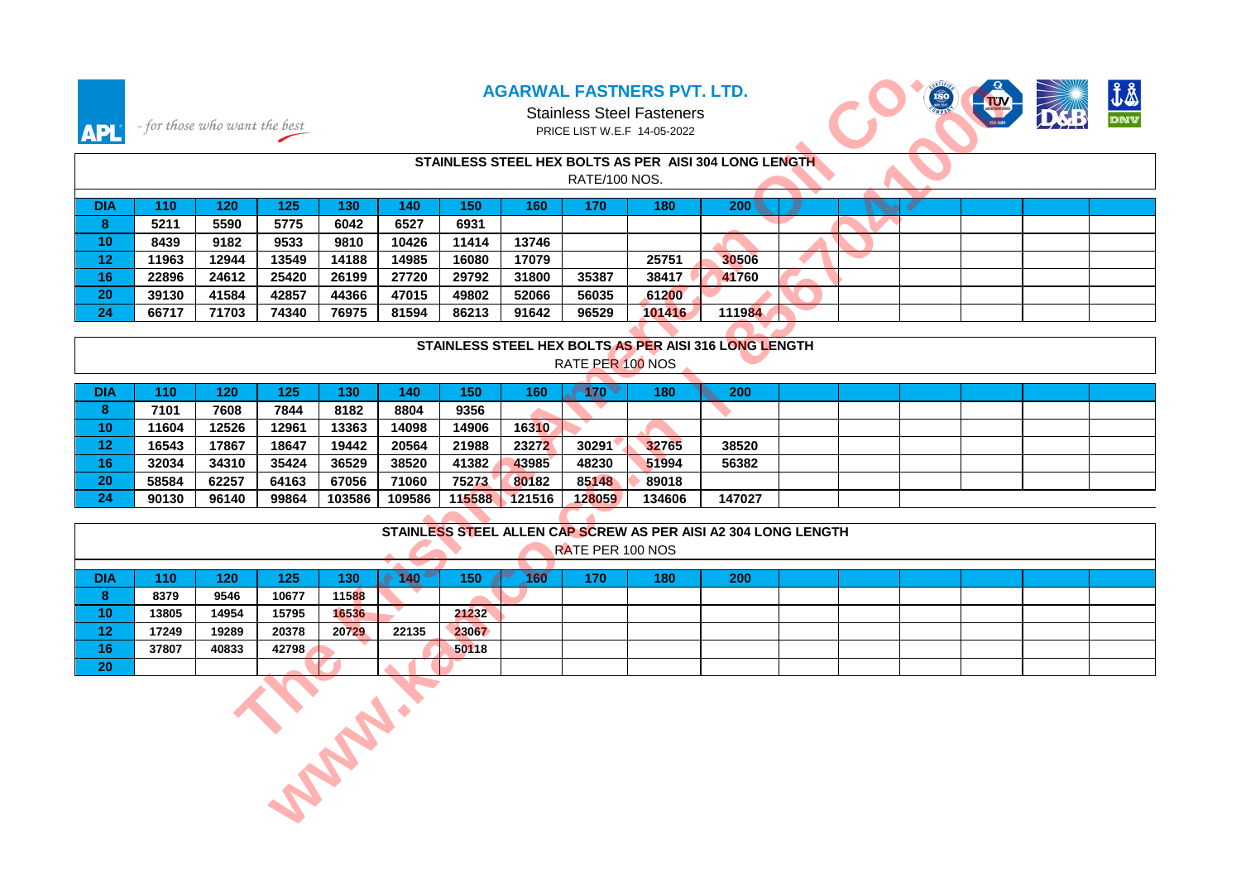



## Stainless Steel Fasteners PRICE LIST W.E.F 14-05-2022

| <b>APL</b>      | - for those who want the best |             |              |             |                               |             |             | PRICE LIST W.E.F 14-05-2022 | <b>AGARWAL FASTNERS PVT. LTD.</b><br><b>Stainless Steel Fasteners</b> |                                                                |  |  |  |
|-----------------|-------------------------------|-------------|--------------|-------------|-------------------------------|-------------|-------------|-----------------------------|-----------------------------------------------------------------------|----------------------------------------------------------------|--|--|--|
|                 |                               |             |              |             |                               |             |             | RATE/100 NOS.               |                                                                       | STAINLESS STEEL HEX BOLTS AS PER AISI 304 LONG LENGTH          |  |  |  |
|                 |                               |             |              |             |                               |             |             |                             |                                                                       |                                                                |  |  |  |
| <b>DIA</b><br>8 | 110<br>5211                   | 120<br>5590 | 125<br>5775  | 130<br>6042 | 140<br>6527                   | 150<br>6931 | 160         | 170                         | 180                                                                   | 200                                                            |  |  |  |
| 10              | 8439                          | 9182        | 9533         | 9810        | 10426                         | 11414       | 13746       |                             |                                                                       |                                                                |  |  |  |
| 12              | 11963                         | 12944       | 13549        | 14188       | 14985                         | 16080       | 17079       |                             | 25751                                                                 | 30506                                                          |  |  |  |
| 16              | 22896                         | 24612       | 25420        | 26199       | 27720                         | 29792       | 31800       | 35387                       | 38417                                                                 | 41760                                                          |  |  |  |
| 20              | 39130                         | 41584       | 42857        | 44366       | 47015                         | 49802       | 52066       | 56035                       | 61200                                                                 |                                                                |  |  |  |
| 24              | 66717                         | 71703       | 74340        | 76975       | 81594                         | 86213       | 91642       | 96529                       | 101416                                                                | 111984                                                         |  |  |  |
|                 |                               |             |              |             |                               |             |             |                             |                                                                       |                                                                |  |  |  |
|                 |                               |             |              |             |                               |             |             |                             |                                                                       | STAINLESS STEEL HEX BOLTS AS PER AISI 316 LONG LENGTH          |  |  |  |
|                 |                               |             |              |             |                               |             |             | RATE PER 100 NOS            |                                                                       |                                                                |  |  |  |
|                 |                               |             |              |             |                               |             |             |                             |                                                                       |                                                                |  |  |  |
| <b>DIA</b>      | 110                           | 120         | 125          | 130         | 140                           | 150         | 160         | $170 -$                     | 180                                                                   | <b>200</b>                                                     |  |  |  |
| 8               | 7101                          | 7608        | 7844         | 8182        | 8804                          | 9356        |             |                             |                                                                       | ÷                                                              |  |  |  |
| 10              | 11604                         | 12526       | 12961        | 13363       | 14098                         | 14906       | 16310       |                             |                                                                       |                                                                |  |  |  |
| 12 <sub>2</sub> | 16543                         | 17867       | 18647        | 19442       | 20564                         | 21988       | 23272       | 30291                       | 32765                                                                 | 38520                                                          |  |  |  |
| 16              | 32034                         | 34310       | 35424        | 36529       | 38520                         | 41382       | 43985       | 48230                       | 51994                                                                 | 56382                                                          |  |  |  |
| 20              | 58584                         | 62257       | 64163        | 67056       | 71060                         | 75273       | 80182       | 85148                       | 89018                                                                 |                                                                |  |  |  |
| 24              | 90130                         | 96140       | 99864        | 103586      | 109586                        | 115588      | 121516      | 128059                      | 134606                                                                | 147027                                                         |  |  |  |
|                 |                               |             |              |             |                               |             |             |                             |                                                                       | STAINLESS STEEL ALLEN CAP SCREW AS PER AISI A2 304 LONG LENGTH |  |  |  |
|                 |                               |             |              |             |                               |             |             | RATE PER 100 NOS            |                                                                       |                                                                |  |  |  |
|                 |                               |             |              |             |                               |             |             |                             |                                                                       |                                                                |  |  |  |
| <b>DIA</b>      | 110                           | 120         | 125          | 130         | 140 <sup>4</sup><br>$\bullet$ | 150         | $160^\circ$ | 170                         | 180                                                                   | 200                                                            |  |  |  |
| 8               | 8379                          | 9546        | 10677        | 11588       |                               |             |             |                             |                                                                       |                                                                |  |  |  |
| 10 <sup>°</sup> | 13805                         | 14954       | 15795        | 16536       |                               | 21232       |             |                             |                                                                       |                                                                |  |  |  |
| 12              | 17249                         | 19289       | 20378        | 20729       | 22135                         | 23067       |             |                             |                                                                       |                                                                |  |  |  |
| 16              | 37807                         | 40833       | 42798        |             |                               | 50118       |             |                             |                                                                       |                                                                |  |  |  |
| 20              |                               |             |              |             |                               |             |             |                             |                                                                       |                                                                |  |  |  |
|                 |                               |             | <b>CABBY</b> |             |                               |             |             |                             |                                                                       |                                                                |  |  |  |

### **STAINLESS STEEL HEX BOLTS AS PER AISI 316 LONG LENGTH**

| DIA            | 110   | 120   | 125   | 130'   | 40     | 150    | 160    | 170    | 180    | 200    |  |  |  |
|----------------|-------|-------|-------|--------|--------|--------|--------|--------|--------|--------|--|--|--|
|                | 7101  | 7608  | 7844  | 8182   | 8804   | 9356   |        |        |        |        |  |  |  |
| 10             | 11604 | 12526 | 12961 | 13363  | 14098  | 14906  | 16310  |        |        |        |  |  |  |
| $\sim$<br>1 Z. | 16543 | 17867 | 18647 | 19442  | 20564  | 21988  | 23272  | 30291  | 32765  | 38520  |  |  |  |
| 16             | 32034 | 34310 | 35424 | 36529  | 38520  | 41382  | 43985  | 48230  | 51994  | 56382  |  |  |  |
| 20             | 58584 | 62257 | 64163 | 67056  | 71060  | 75273  | 80182  | 85148  | 89018  |        |  |  |  |
| 24             | 90130 | 96140 | 99864 | 103586 | 109586 | 115588 | 121516 | 128059 | 134606 | 147027 |  |  |  |

|            |       |       |       |       |            |       |     |                  |     | STAINLESS STEEL ALLEN CAP SCREW AS PER AISI A2 304 LONG LENGTH |  |  |  |
|------------|-------|-------|-------|-------|------------|-------|-----|------------------|-----|----------------------------------------------------------------|--|--|--|
|            |       |       |       |       |            |       |     | RATE PER 100 NOS |     |                                                                |  |  |  |
|            |       |       |       |       |            |       |     |                  |     |                                                                |  |  |  |
| <b>DIA</b> | 110   | 120   | 125   | 130   | <b>40.</b> | 150   | -60 | 170              | 180 | 200                                                            |  |  |  |
| - 63<br>ō  | 8379  | 9546  | 10677 | 11588 |            |       |     |                  |     |                                                                |  |  |  |
| 10         | 13805 | 14954 | 15795 | 16536 |            | 21232 |     |                  |     |                                                                |  |  |  |
| 12         | 17249 | 19289 | 20378 | 20729 | 22135      | 23067 |     |                  |     |                                                                |  |  |  |
| 16         | 37807 | 40833 | 42798 |       |            | 50118 |     |                  |     |                                                                |  |  |  |
| 20         |       |       |       |       |            |       |     |                  |     |                                                                |  |  |  |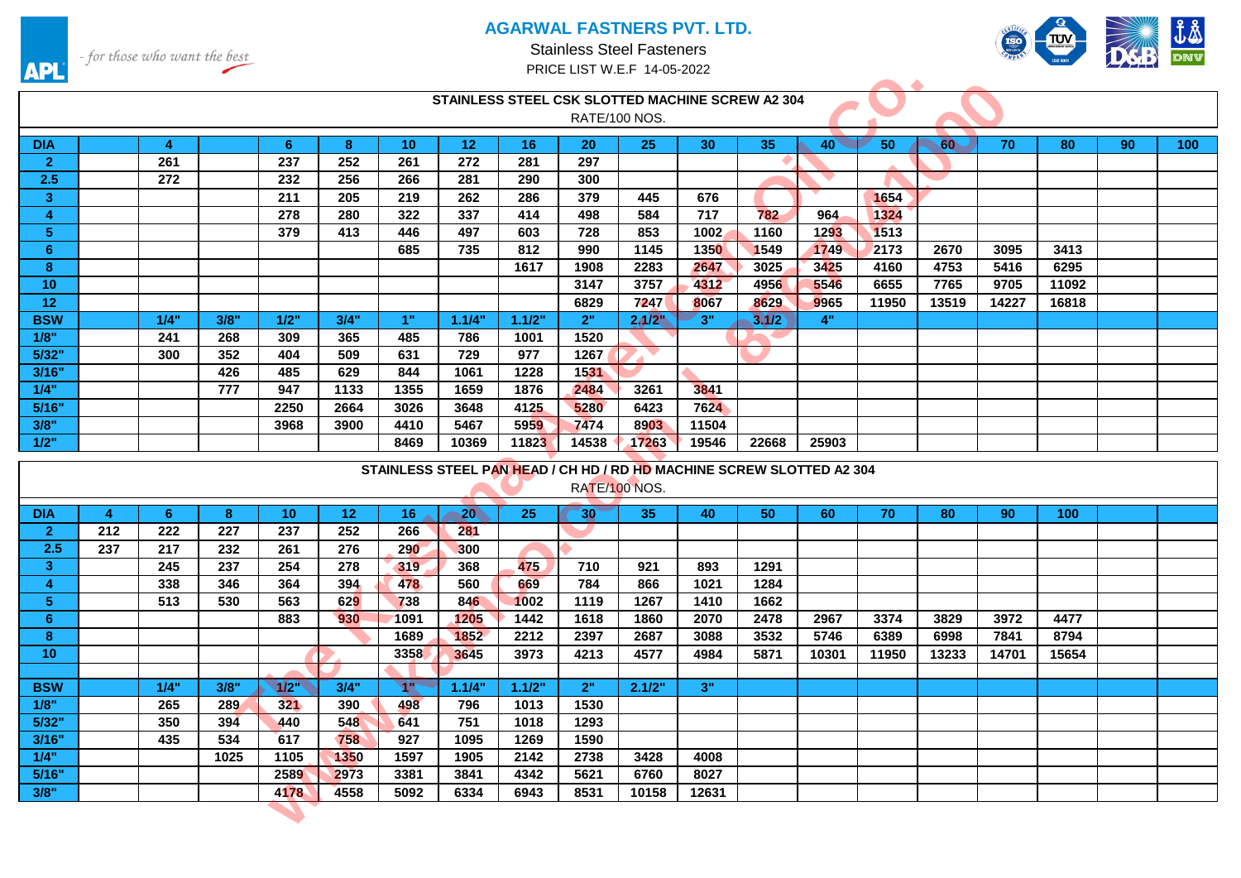



- for those who want the best

╱

**API** 

| <u>a te</u>     |                |                |      |                 |                  |                  |                 |        |              |                                                                       |                 |       |              |       |       |       |       |    |                  |
|-----------------|----------------|----------------|------|-----------------|------------------|------------------|-----------------|--------|--------------|-----------------------------------------------------------------------|-----------------|-------|--------------|-------|-------|-------|-------|----|------------------|
|                 |                |                |      |                 |                  |                  |                 |        |              | STAINLESS STEEL CSK SLOTTED MACHINE SCREW A2 304                      |                 |       |              |       |       |       |       |    |                  |
|                 |                |                |      |                 |                  |                  |                 |        |              | RATE/100 NOS.                                                         |                 |       |              |       |       |       |       |    |                  |
| <b>DIA</b>      |                | $\overline{4}$ |      | 6 <sup>°</sup>  | 8                | 10 <sup>°</sup>  | 12 <sub>2</sub> | 16     | 20           | 25                                                                    | 30 <sup>°</sup> | 35    | $40^{\circ}$ | 50    | 60    | 70    | 80    | 90 | 100 <sub>1</sub> |
| $\overline{2}$  |                | 261            |      | 237             | 252              | 261              | 272             | 281    | 297          |                                                                       |                 |       |              |       |       |       |       |    |                  |
| 2.5             |                | 272            |      | 232             | 256              | 266              | 281             | 290    | 300          |                                                                       |                 |       |              |       |       |       |       |    |                  |
| 3 <sup>2</sup>  |                |                |      | 211             | 205              | 219              | 262             | 286    | 379          | 445                                                                   | 676             |       |              | 1654  |       |       |       |    |                  |
| $\overline{4}$  |                |                |      | 278             | 280              | 322              | 337             | 414    | 498          | 584                                                                   | 717             | 782   | 964          | 1324  |       |       |       |    |                  |
| 5 <sup>5</sup>  |                |                |      | 379             | 413              | 446              | 497             | 603    | 728          | 853                                                                   | 1002            | 1160  | 1293         | 1513  |       |       |       |    |                  |
| 6               |                |                |      |                 |                  | 685              | 735             | 812    | 990          | 1145                                                                  | 1350            | 1549  | 1749         | 2173  | 2670  | 3095  | 3413  |    |                  |
| 8               |                |                |      |                 |                  |                  |                 | 1617   | 1908         | 2283                                                                  | 2647            | 3025  | 3425         | 4160  | 4753  | 5416  | 6295  |    |                  |
| 10 <sup>°</sup> |                |                |      |                 |                  |                  |                 |        | 3147         | 3757                                                                  | 4312            | 4956  | 5546         | 6655  | 7765  | 9705  | 11092 |    |                  |
| 12              |                |                |      |                 |                  |                  |                 |        | 6829         | 7247                                                                  | 8067            | 8629  | 9965         | 11950 | 13519 | 14227 | 16818 |    |                  |
| <b>BSW</b>      |                | 1/4"           | 3/8" | 1/2"            | 3/4"             | 1"               | 1.1/4"          | 1.1/2" | 2"           | 2.1/2"                                                                | 3"              | 3.1/2 | 4"           |       |       |       |       |    |                  |
| 1/8"            |                | 241            | 268  | 309             | 365              | 485              | 786             | 1001   | 1520         |                                                                       |                 |       |              |       |       |       |       |    |                  |
| 5/32"           |                | 300            | 352  | 404             | 509              | 631              | 729             | 977    | 1267         |                                                                       |                 |       |              |       |       |       |       |    |                  |
| 3/16"           |                |                | 426  | 485             | 629              | 844              | 1061            | 1228   | 1531         |                                                                       |                 |       |              |       |       |       |       |    |                  |
| 1/4"            |                |                | 777  | 947             | 1133             | 1355             | 1659            | 1876   | 2484         | 3261                                                                  | 3841            |       |              |       |       |       |       |    |                  |
| 5/16"           |                |                |      | 2250            | 2664             | 3026             | 3648            | 4125   | 5280         | 6423                                                                  | 7624            |       |              |       |       |       |       |    |                  |
| 3/8"            |                |                |      | 3968            | 3900             | 4410             | 5467            | 5959   | 7474         | 8903                                                                  | 11504           |       |              |       |       |       |       |    |                  |
| 1/2"            |                |                |      |                 |                  |                  |                 |        |              |                                                                       |                 |       |              |       |       |       |       |    |                  |
|                 |                |                |      |                 |                  | 8469             | 10369           | 11823  | 14538        | 17263                                                                 | 19546           | 22668 | 25903        |       |       |       |       |    |                  |
|                 |                |                |      |                 |                  |                  |                 |        |              |                                                                       |                 |       |              |       |       |       |       |    |                  |
|                 |                |                |      |                 |                  |                  |                 |        |              | STAINLESS STEEL PAN HEAD / CH HD / RD HD MACHINE SCREW SLOTTED A2 304 |                 |       |              |       |       |       |       |    |                  |
|                 |                |                |      |                 |                  |                  |                 |        |              | RATE/100 NOS.                                                         |                 |       |              |       |       |       |       |    |                  |
| <b>DIA</b>      | $\overline{4}$ | 6              | 8    | 10 <sup>°</sup> | 12               | 16 <sup>1</sup>  | $-20$           | 25     | $30^{\circ}$ | 35                                                                    | 40              | 50    | 60           | 70    | 80    | 90    | 100   |    |                  |
| $\overline{2}$  | 212            | 222            | 227  | 237             | 252              | 266              | 281             |        |              |                                                                       |                 |       |              |       |       |       |       |    |                  |
| 2.5             | 237            | 217            | 232  | 261             | 276              | <b>290</b>       | 300             |        |              |                                                                       |                 |       |              |       |       |       |       |    |                  |
| 3 <sup>°</sup>  |                | 245            | 237  | 254             | 278              | 319              | 368             | 475    | 710          | 921                                                                   | 893             | 1291  |              |       |       |       |       |    |                  |
| 4               |                | 338            | 346  | 364             | 394              | 478              | 560             | 669    | 784          | 866                                                                   | 1021            | 1284  |              |       |       |       |       |    |                  |
| 5 <sub>5</sub>  |                | 513            | 530  | 563             | 629              | 738              | 846             | 1002   | 1119         | 1267                                                                  | 1410            | 1662  |              |       |       |       |       |    |                  |
| 6 <sup>1</sup>  |                |                |      | 883             | 930 <sub>1</sub> | 1091             | 1205            | 1442   | 1618         | 1860                                                                  | 2070            | 2478  | 2967         | 3374  | 3829  | 3972  | 4477  |    |                  |
| 8               |                |                |      |                 |                  | 1689             | 1852            | 2212   | 2397         | 2687                                                                  | 3088            | 3532  | 5746         | 6389  | 6998  | 7841  | 8794  |    |                  |
| 10 <sup>°</sup> |                |                |      |                 |                  | 3358             | 3645            | 3973   | 4213         | 4577                                                                  | 4984            | 5871  | 10301        | 11950 | 13233 | 14701 | 15654 |    |                  |
|                 |                |                |      |                 |                  |                  |                 |        |              |                                                                       |                 |       |              |       |       |       |       |    |                  |
| <b>BSW</b>      |                | 1/4"           | 3/8" | 1/2             | 3/4"             | <b>TP</b>        | 1.1/4"          | 1.1/2" | 2"           | 2.1/2"                                                                | 3"              |       |              |       |       |       |       |    |                  |
| 1/8"            |                | 265            | 289  | 321             | 390              | 498              | 796             | 1013   | 1530         |                                                                       |                 |       |              |       |       |       |       |    |                  |
| 5/32"           |                | 350            | 394  | 440             | 548              | 641              | 751             | 1018   | 1293         |                                                                       |                 |       |              |       |       |       |       |    |                  |
| 3/16"           |                | 435            | 534  | 617             | 758              | $\overline{927}$ | 1095            | 1269   | 1590         |                                                                       |                 |       |              |       |       |       |       |    |                  |
| 1/4"            |                |                | 1025 | 1105            | 1350             | 1597             | 1905            | 2142   | 2738         | 3428                                                                  | 4008            |       |              |       |       |       |       |    |                  |
| 5/16"           |                |                |      | 2589            | 2973             | 3381             | 3841            | 4342   | 5621         | 6760                                                                  | 8027            |       |              |       |       |       |       |    |                  |
| 3/8"            |                |                |      | 4178            | 4558             | 5092             | 6334            | 6943   | 8531         | 10158                                                                 | 12631           |       |              |       |       |       |       |    |                  |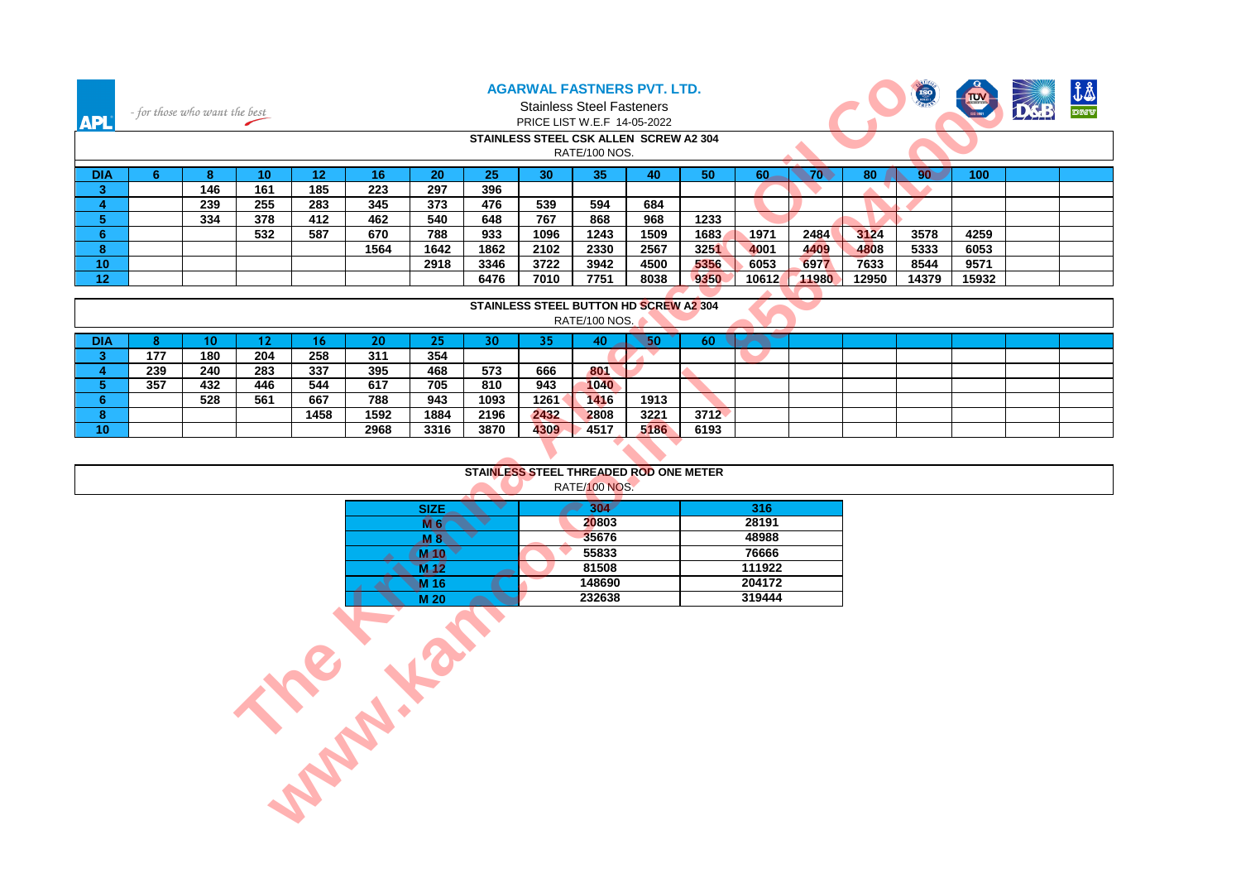| <b>APL</b>                   |                | - for those who want the best |                 |                 |                   |                 |                                        |              | <b>AGARWAL FASTNERS PVT. LTD.</b><br><b>Stainless Steel Fasteners</b><br>PRICE LIST W.E.F 14-05-2022<br>STAINLESS STEEL CSK ALLEN SCREW A2 304 |              |              |              |              |                  | <b>ISO</b>   |              |  |
|------------------------------|----------------|-------------------------------|-----------------|-----------------|-------------------|-----------------|----------------------------------------|--------------|------------------------------------------------------------------------------------------------------------------------------------------------|--------------|--------------|--------------|--------------|------------------|--------------|--------------|--|
|                              |                |                               |                 |                 |                   |                 |                                        |              | RATE/100 NOS.                                                                                                                                  |              |              |              |              |                  |              |              |  |
| <b>DIA</b>                   | 6              | 8                             | 10 <sup>°</sup> | 12 <sub>2</sub> | 16                | 20              | 25                                     | 30           | 35                                                                                                                                             | 40           | 50           | 60           | 70.          | 80               | $90^{\circ}$ | 100          |  |
| 3 <sup>2</sup>               |                | 146                           | 161             | 185             | 223               | 297             | 396                                    |              |                                                                                                                                                |              |              |              |              | $\blacktriangle$ |              |              |  |
| $\overline{4}$               |                | 239                           | 255             | 283             | 345               | 373             | 476                                    | 539          | 594                                                                                                                                            | 684          |              |              |              |                  |              |              |  |
| 5 <sup>1</sup>               |                | 334                           | 378             | 412             | 462               | 540             | 648                                    | 767          | 868                                                                                                                                            | 968          | 1233         |              |              |                  |              |              |  |
| 6 <sup>1</sup><br>8          |                |                               | 532             | 587             | 670<br>1564       | 788<br>1642     | 933<br>1862                            | 1096<br>2102 | 1243<br>2330                                                                                                                                   | 1509<br>2567 | 1683<br>3251 | 1971<br>4001 | 2484<br>4409 | 3124<br>4808     | 3578<br>5333 | 4259<br>6053 |  |
| 10 <sub>1</sub>              |                |                               |                 |                 |                   | 2918            | 3346                                   | 3722         | 3942                                                                                                                                           | 4500         | 5356         | 6053         | 6977         | 7633             | 8544         | 9571         |  |
| 12 <sub>2</sub>              |                |                               |                 |                 |                   |                 | 6476                                   | 7010         | 7751                                                                                                                                           | 8038         | 9350         | 10612        | 11980        | 12950            | 14379        | 15932        |  |
|                              |                |                               |                 |                 |                   |                 |                                        |              |                                                                                                                                                |              |              |              |              |                  |              |              |  |
|                              |                |                               |                 |                 |                   |                 |                                        |              | STAINLESS STEEL BUTTON HD SCREW A2 304<br>RATE/100 NOS.                                                                                        |              |              |              |              |                  |              |              |  |
|                              |                |                               |                 |                 |                   |                 |                                        |              |                                                                                                                                                |              |              |              |              |                  |              |              |  |
| <b>DIA</b><br>3 <sup>°</sup> | 8 <sup>°</sup> | 10 <sup>°</sup><br>180        | 12<br>204       | 16              | 20                | 25<br>354       | 30 <sup>°</sup>                        | 35           | 40                                                                                                                                             | 50           | 60           |              |              |                  |              |              |  |
| 4                            | 177<br>239     | 240                           | 283             | 258<br>337      | 311<br>395        | 468             | 573                                    | 666          | 801                                                                                                                                            |              |              |              |              |                  |              |              |  |
| $\sqrt{5}$                   | 357            | 432                           | 446             | 544             | 617               | 705             | 810                                    | 943          | 1040                                                                                                                                           |              |              |              |              |                  |              |              |  |
| 6                            |                | 528                           | 561             | 667             | 788               | 943             | 1093                                   | 1261         | 1416                                                                                                                                           | 1913         |              |              |              |                  |              |              |  |
| 8                            |                |                               |                 | 1458            | 1592              | 1884            | 2196                                   | 2432         | 2808                                                                                                                                           | 3221         | 3712         |              |              |                  |              |              |  |
| 10 <sup>°</sup>              |                |                               |                 |                 | 2968              | 3316            | 3870                                   | 4309         | 4517                                                                                                                                           | 5186         | 6193         |              |              |                  |              |              |  |
|                              |                |                               |                 |                 |                   |                 |                                        |              |                                                                                                                                                |              |              |              |              |                  |              |              |  |
|                              |                |                               |                 |                 |                   |                 | STAINLESS STEEL THREADED ROD ONE METER |              |                                                                                                                                                |              |              |              |              |                  |              |              |  |
|                              |                |                               |                 |                 |                   |                 |                                        |              | RATE/100 NOS.                                                                                                                                  |              |              |              |              |                  |              |              |  |
|                              |                |                               |                 |                 |                   | <b>SIZE</b>     |                                        |              | 304                                                                                                                                            |              |              | 316          |              |                  |              |              |  |
|                              |                |                               |                 |                 |                   | <b>M6</b>       | v                                      |              | 20803                                                                                                                                          |              |              | 28191        |              |                  |              |              |  |
|                              |                |                               |                 |                 |                   | $M$ 8           |                                        |              | 35676                                                                                                                                          |              |              | 48988        |              |                  |              |              |  |
|                              |                |                               |                 |                 |                   | $M$ 10          |                                        |              | 55833                                                                                                                                          |              |              | 76666        |              |                  |              |              |  |
|                              |                |                               |                 |                 |                   | M <sub>12</sub> |                                        |              | 81508                                                                                                                                          |              |              | 111922       |              |                  |              |              |  |
|                              |                |                               |                 |                 |                   |                 |                                        |              | 148690                                                                                                                                         |              |              | 204172       |              |                  |              |              |  |
|                              |                |                               |                 |                 |                   |                 |                                        |              | 232638                                                                                                                                         |              |              | 319444       |              |                  |              |              |  |
|                              |                |                               |                 |                 |                   |                 |                                        |              |                                                                                                                                                |              |              |              |              |                  |              |              |  |
|                              |                |                               |                 |                 |                   |                 |                                        |              |                                                                                                                                                |              |              |              |              |                  |              |              |  |
|                              |                |                               |                 |                 |                   |                 |                                        |              |                                                                                                                                                |              |              |              |              |                  |              |              |  |
|                              |                |                               |                 |                 |                   |                 |                                        |              |                                                                                                                                                |              |              |              |              |                  |              |              |  |
|                              |                |                               |                 |                 |                   |                 |                                        |              |                                                                                                                                                |              |              |              |              |                  |              |              |  |
|                              |                |                               |                 |                 |                   |                 |                                        |              |                                                                                                                                                |              |              |              |              |                  |              |              |  |
|                              |                |                               |                 |                 |                   |                 |                                        |              |                                                                                                                                                |              |              |              |              |                  |              |              |  |
|                              |                |                               |                 |                 | <b>Property R</b> |                 |                                        |              |                                                                                                                                                |              |              |              |              |                  |              |              |  |
|                              |                |                               |                 |                 |                   |                 |                                        |              |                                                                                                                                                |              |              |              |              |                  |              |              |  |
|                              |                |                               |                 |                 |                   |                 |                                        |              |                                                                                                                                                |              |              |              |              |                  |              |              |  |
|                              |                |                               |                 |                 |                   |                 |                                        |              |                                                                                                                                                |              |              |              |              |                  |              |              |  |
|                              |                |                               |                 |                 |                   |                 |                                        |              |                                                                                                                                                |              |              |              |              |                  |              |              |  |

|            |                                        |     |     |      |      |      |      | <u>ULAINLLUU UTLLE DUTTUITID UUNEN AL VUT</u> | <b>RATE/100 NOS.</b> |      |      |  |  |  |  |  |  |
|------------|----------------------------------------|-----|-----|------|------|------|------|-----------------------------------------------|----------------------|------|------|--|--|--|--|--|--|
| <b>DIA</b> |                                        |     |     |      | 20   | 25   | 30   | 35                                            |                      | 50   | 60   |  |  |  |  |  |  |
|            | 354<br>177<br>204<br>258<br>311<br>180 |     |     |      |      |      |      |                                               |                      |      |      |  |  |  |  |  |  |
|            | 239                                    | 240 | 283 | 337  | 395  | 468  | 573  | 666                                           | 801                  |      |      |  |  |  |  |  |  |
|            | 357                                    | 432 | 446 | 544  | 617  | 705  | 810  | 943                                           | 1040                 |      |      |  |  |  |  |  |  |
|            |                                        | 528 | 561 | 667  | 788  | 943  | 1093 | 1261                                          | 1416                 | 1913 |      |  |  |  |  |  |  |
|            |                                        |     |     | 1458 | 1592 | 1884 | 2196 | 2432                                          | 2808                 | 3221 | 3712 |  |  |  |  |  |  |
| 10         |                                        |     |     |      | 2968 | 3316 | 3870 | 4309                                          | 4517                 | 5186 | 6193 |  |  |  |  |  |  |

|      | STAINLESS STEEL THREADED ROD ONE METER |       |  |
|------|----------------------------------------|-------|--|
|      | RATE/100 NOS.                          |       |  |
|      |                                        |       |  |
| ---- |                                        |       |  |
| .    | 20803                                  | 2819' |  |

| <b>M</b> 6      | 20803  | 28191  |
|-----------------|--------|--------|
| M 8.            | 35676  | 48988  |
| M <sub>10</sub> | 55833  | 76666  |
| $M-12$          | 81508  | 111922 |
| M 16            | 148690 | 204172 |
| M 20            | 232638 | 319444 |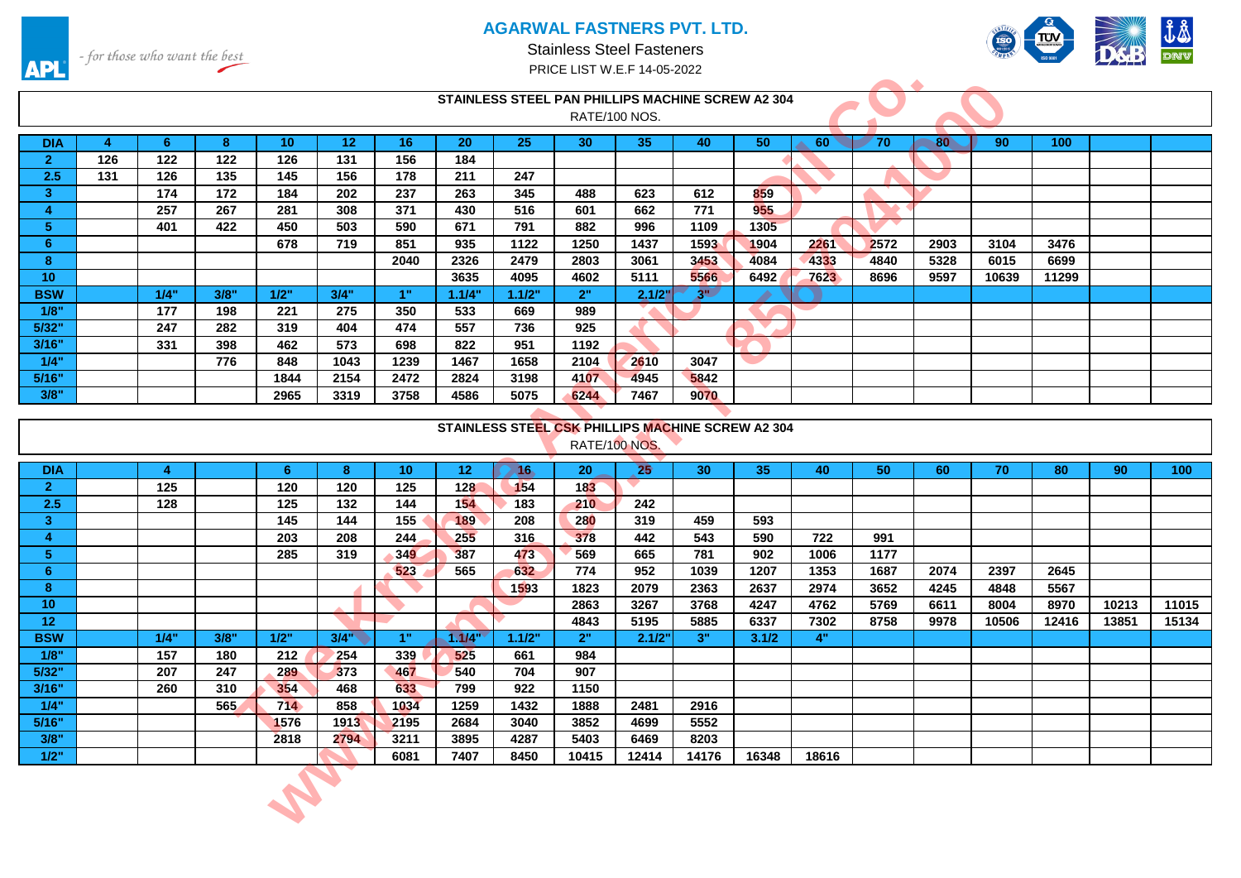

Stainless Steel Fasteners PRICE LIST W.E.F 14-05-2022



|                     |                |                |                |                 |                  |                 |                 |        | STAINLESS STEEL PAN PHILLIPS MACHINE SCREW A2 304 |               |                 |                 |       |      |                 |       |       |       |       |
|---------------------|----------------|----------------|----------------|-----------------|------------------|-----------------|-----------------|--------|---------------------------------------------------|---------------|-----------------|-----------------|-------|------|-----------------|-------|-------|-------|-------|
|                     |                |                |                |                 |                  |                 |                 |        |                                                   | RATE/100 NOS. |                 |                 |       |      |                 |       |       |       |       |
| <b>DIA</b>          | $\overline{4}$ | -6             | 8 <sup>°</sup> | 10 <sup>°</sup> | 12 <sub>2</sub>  | 16              | 20              | 25     | 30                                                | 35            | 40              | 50 <sub>2</sub> | 60    | 70   | 80 <sup>°</sup> | 90    | 100   |       |       |
| 2 <sup>1</sup>      | 126            | 122            | 122            | 126             | 131              | 156             | 184             |        |                                                   |               |                 |                 |       |      |                 |       |       |       |       |
| 2.5                 | 131            | 126            | 135            | 145             | 156              | 178             | 211             | 247    |                                                   |               |                 |                 |       |      |                 |       |       |       |       |
| 3 <sup>°</sup>      |                | 174            | 172            | 184             | 202              | 237             | 263             | 345    | 488                                               | 623           | 612             | 859             |       |      |                 |       |       |       |       |
| $\overline{4}$      |                | 257            | 267            | 281             | 308              | 371             | 430             | 516    | 601                                               | 662           | 771             | 955             |       |      |                 |       |       |       |       |
| 5 <sub>1</sub>      |                | 401            | 422            | 450             | 503              | 590             | 671             | 791    | 882                                               | 996           | 1109            | 1305            |       |      |                 |       |       |       |       |
| 6 <sup>°</sup>      |                |                |                | 678             | 719              | 851             | 935             | 1122   | 1250                                              | 1437          | 1593            | 1904            | 2261  | 2572 | 2903            | 3104  | 3476  |       |       |
| 8                   |                |                |                |                 |                  | 2040            | 2326            | 2479   | 2803                                              | 3061          | 3453            | 4084            | 4333  | 4840 | 5328            | 6015  | 6699  |       |       |
| 10 <sup>°</sup>     |                |                |                |                 |                  |                 | 3635            | 4095   | 4602                                              | 5111          | 5566            | 6492            | 7623  | 8696 | 9597            | 10639 | 11299 |       |       |
| <b>BSW</b>          |                | 1/4"           | 3/8"           | 1/2"            | 3/4"             | 1"              | 1.1/4"          | 1.1/2" | 2"                                                | 2.1/2"        | $3^{\circ}$     | ▲               |       |      |                 |       |       |       |       |
| 1/8"                |                | 177            | 198            | 221             | 275              | 350             | 533             | 669    | 989                                               |               |                 |                 |       |      |                 |       |       |       |       |
| 5/32"               |                | 247            | 282            | 319             | 404              | 474             | 557             | 736    | 925                                               |               |                 |                 |       |      |                 |       |       |       |       |
| 3/16"               |                | 331            | 398            | 462             | 573              | 698             | 822             | 951    | 1192                                              |               |                 |                 |       |      |                 |       |       |       |       |
| 1/4"                |                |                | 776            | 848             | 1043             | 1239            | 1467            | 1658   | 2104                                              | 2610          | 3047            |                 |       |      |                 |       |       |       |       |
| 5/16"               |                |                |                | 1844            | 2154             | 2472            | 2824            | 3198   | 4107                                              | 4945          | 5842            |                 |       |      |                 |       |       |       |       |
| 3/8"                |                |                |                | 2965            | 3319             | 3758            | 4586            | 5075   | 6244                                              | 7467          | 9070            |                 |       |      |                 |       |       |       |       |
|                     |                |                |                |                 |                  |                 |                 |        |                                                   |               |                 |                 |       |      |                 |       |       |       |       |
|                     |                |                |                |                 |                  |                 |                 |        | STAINLESS STEEL CSK PHILLIPS MACHINE SCREW A2 304 |               |                 |                 |       |      |                 |       |       |       |       |
|                     |                |                |                |                 |                  |                 |                 |        | RATE/100 NOS.                                     |               |                 |                 |       |      |                 |       |       |       |       |
|                     |                |                |                |                 |                  |                 |                 |        |                                                   |               |                 |                 |       |      |                 |       |       |       |       |
| <b>DIA</b>          |                | $\overline{4}$ |                | 6               | 8                | 10 <sup>°</sup> | 12 <sub>2</sub> | 7.16   | 20                                                | 25            | 30 <sub>2</sub> | 35              | 40    | 50   | 60              | 70    | 80    | 90    | 100   |
| 2 <sup>1</sup>      |                | 125            |                | 120             | 120              | 125             | 128             | 154    | 183                                               |               |                 |                 |       |      |                 |       |       |       |       |
| 2.5                 |                | 128            |                | 125             | $\overline{132}$ | 144             | 154             | 183    | 210                                               | 242           |                 |                 |       |      |                 |       |       |       |       |
| 3 <sup>°</sup>      |                |                |                | 145             | 144              | 155             | 189             | 208    | 280                                               | 319           | 459             | 593             |       |      |                 |       |       |       |       |
| $\overline{\bf{4}}$ |                |                |                | 203             | 208              | 244             | 255             | 316    | 378                                               | 442           | 543             | 590             | 722   | 991  |                 |       |       |       |       |
| 5 <sup>1</sup>      |                |                |                | 285             | 319              | 349             | 387             | 473    | 569                                               | 665           | 781             | 902             | 1006  | 1177 |                 |       |       |       |       |
| 6 <sup>°</sup>      |                |                |                |                 |                  | 523             | 565             | 632    | 774                                               | 952           | 1039            | 1207            | 1353  | 1687 | 2074            | 2397  | 2645  |       |       |
| $\bf{8}$            |                |                |                |                 |                  |                 |                 | 1593   | 1823                                              | 2079          | 2363            | 2637            | 2974  | 3652 | 4245            | 4848  | 5567  |       |       |
| 10                  |                |                |                |                 |                  |                 |                 |        | 2863                                              | 3267          | 3768            | 4247            | 4762  | 5769 | 6611            | 8004  | 8970  | 10213 | 11015 |
| 12                  |                |                |                |                 |                  |                 |                 |        | 4843                                              | 5195          | 5885            | 6337            | 7302  | 8758 | 9978            | 10506 | 12416 | 13851 | 15134 |
| <b>BSW</b>          |                | 1/4"           | 3/8"           | $1/2$ "         | $3/4$ "          | 1"              | 1.1/4"          | 1.1/2" | 2"                                                | 2.1/2"        | 3"              | 3.1/2           | 4"    |      |                 |       |       |       |       |
| 1/8"                |                | 157            | 180            | 212             | 254              | 339             | 525             | 661    | 984                                               |               |                 |                 |       |      |                 |       |       |       |       |
| 5/32"               |                | 207            | 247            | 289             | 373              | 467             | 540             | 704    | 907                                               |               |                 |                 |       |      |                 |       |       |       |       |
| 3/16"               |                | 260            | 310            | 354             | 468              | 633             | 799             | 922    | 1150                                              |               |                 |                 |       |      |                 |       |       |       |       |
| 1/4"                |                |                | 565            | 714             | 858              | 1034            | 1259            | 1432   | 1888                                              | 2481          | 2916            |                 |       |      |                 |       |       |       |       |
| 5/16"               |                |                |                | 1576            | 1913             | 2195            | 2684            | 3040   | 3852                                              | 4699          | 5552            |                 |       |      |                 |       |       |       |       |
| 3/8"                |                |                |                | 2818            | 2794             | 3211            | 3895            | 4287   | 5403                                              | 6469          | 8203            |                 |       |      |                 |       |       |       |       |
| $1/2$ "             |                |                |                |                 |                  | 6081            | 7407            | 8450   | 10415                                             | 12414         | 14176           | 16348           | 18616 |      |                 |       |       |       |       |
|                     |                |                |                |                 |                  |                 |                 |        |                                                   |               |                 |                 |       |      |                 |       |       |       |       |
|                     |                |                |                |                 |                  |                 |                 |        |                                                   |               |                 |                 |       |      |                 |       |       |       |       |
|                     |                |                |                |                 |                  |                 |                 |        |                                                   |               |                 |                 |       |      |                 |       |       |       |       |

|                 |      |      |      |      |                 |                 |             | STAINLESS STEEL CSK PHILLIPS MACHINE SCREW A2 304 |              |       |       |       |      |      |       |       |       |       |
|-----------------|------|------|------|------|-----------------|-----------------|-------------|---------------------------------------------------|--------------|-------|-------|-------|------|------|-------|-------|-------|-------|
|                 |      |      |      |      |                 |                 |             | RATE/100 NOS.                                     |              |       |       |       |      |      |       |       |       |       |
| <b>DIA</b>      |      |      | 6    | 8    | 10 <sup>°</sup> | 12 <sub>2</sub> | $\sqrt{16}$ | 20                                                | $25^{\circ}$ | 30    | 35    | 40    | 50   | 60   | 70    | 80    | 90    | 100   |
| $\overline{2}$  | 125  |      | 120  | 120  | 125             | 128             | 154         | 183                                               |              |       |       |       |      |      |       |       |       |       |
| 2.5             | 128  |      | 125  | 132  | 144             | 154             | 183         | 210                                               | 242          |       |       |       |      |      |       |       |       |       |
| 3               |      |      | 145  | 144  | 155             | 189             | 208         | 280                                               | 319          | 459   | 593   |       |      |      |       |       |       |       |
| 4               |      |      | 203  | 208  | 244             | 255             | 316         | 378                                               | 442          | 543   | 590   | 722   | 991  |      |       |       |       |       |
| 5               |      |      | 285  | 319  | 349             | 387             | 473         | 569                                               | 665          | 781   | 902   | 1006  | 1177 |      |       |       |       |       |
| 6               |      |      |      |      | 523             | 565             | 632         | 774                                               | 952          | 1039  | 1207  | 1353  | 1687 | 2074 | 2397  | 2645  |       |       |
| 8               |      |      |      |      |                 |                 | 1593        | 1823                                              | 2079         | 2363  | 2637  | 2974  | 3652 | 4245 | 4848  | 5567  |       |       |
| 10              |      |      |      |      |                 |                 |             | 2863                                              | 3267         | 3768  | 4247  | 4762  | 5769 | 6611 | 8004  | 8970  | 10213 | 11015 |
| 12 <sup>2</sup> |      |      |      |      |                 |                 |             | 4843                                              | 5195         | 5885  | 6337  | 7302  | 8758 | 9978 | 10506 | 12416 | 13851 | 15134 |
| <b>BSW</b>      | 1/4" | 3/8" | 1/2" | 3/4" | 1"              | 1.1/4           | 1.1/2"      | 2"                                                | 2.1/2"       | 3"    | 3.1/2 | 4"    |      |      |       |       |       |       |
| 1/8"            | 157  | 180  | 212  | 254  | 339             | 525             | 661         | 984                                               |              |       |       |       |      |      |       |       |       |       |
| 5/32"           | 207  | 247  | 289  | 373  | 467             | 540             | 704         | 907                                               |              |       |       |       |      |      |       |       |       |       |
| 3/16"           | 260  | 310  | 354  | 468  | 633             | 799             | 922         | 1150                                              |              |       |       |       |      |      |       |       |       |       |
| 1/4"            |      | 565  | 714  | 858  | 1034            | 1259            | 1432        | 1888                                              | 2481         | 2916  |       |       |      |      |       |       |       |       |
| 5/16"           |      |      | 1576 | 1913 | 2195            | 2684            | 3040        | 3852                                              | 4699         | 5552  |       |       |      |      |       |       |       |       |
| 3/8"            |      |      | 2818 | 2794 | 3211            | 3895            | 4287        | 5403                                              | 6469         | 8203  |       |       |      |      |       |       |       |       |
| 1/2"            |      |      |      |      | 6081            | 7407            | 8450        | 10415                                             | 12414        | 14176 | 16348 | 18616 |      |      |       |       |       |       |
|                 |      |      |      |      |                 |                 |             |                                                   |              |       |       |       |      |      |       |       |       |       |
|                 |      |      |      |      |                 |                 |             |                                                   |              |       |       |       |      |      |       |       |       |       |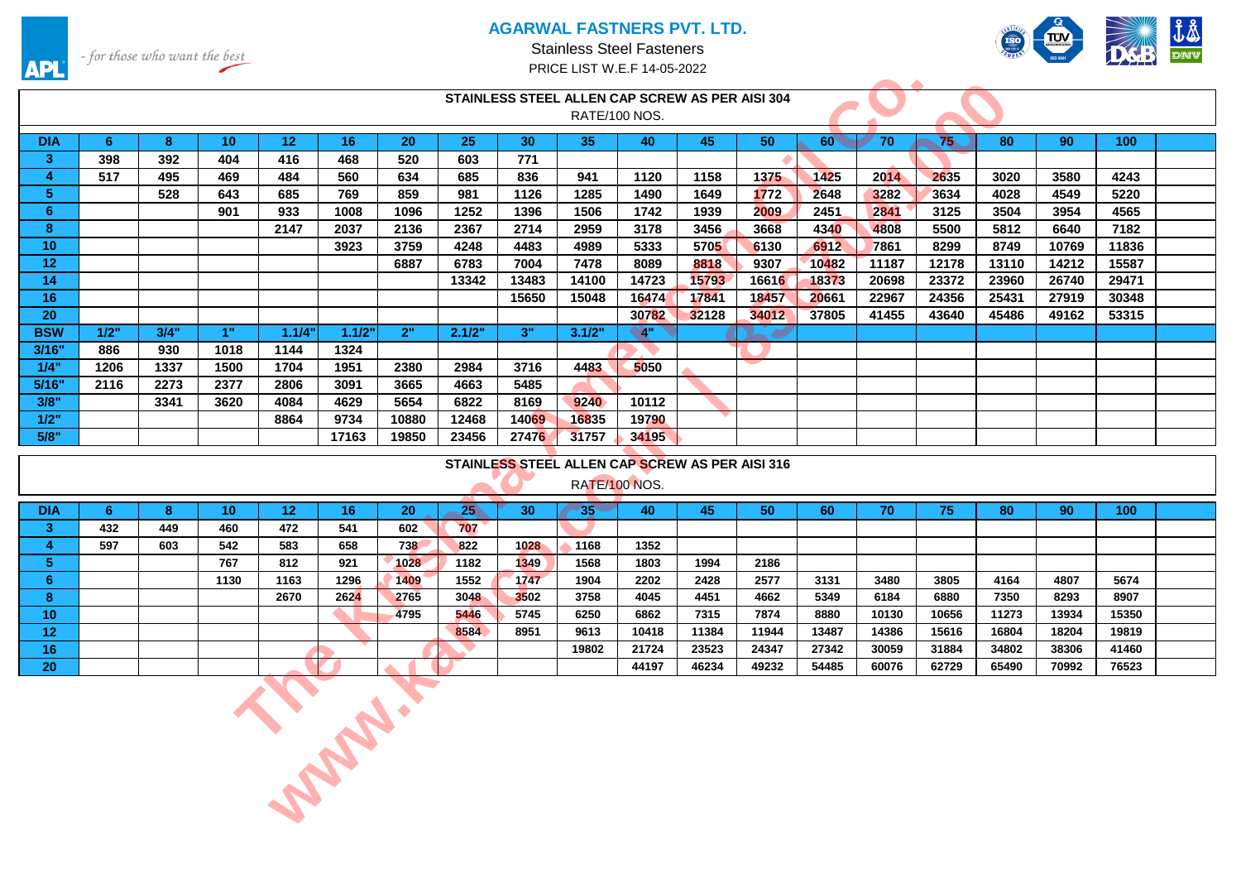

- for those who want the best

**APL** 

Stainless Steel Fasteners PRICE LIST W.E.F 14-05-2022

|                 | المستخلصة                                       |      |                 |                 |        |       |              |                 |                 |              |       |              |              |       |       |       |       |                  |  |
|-----------------|-------------------------------------------------|------|-----------------|-----------------|--------|-------|--------------|-----------------|-----------------|--------------|-------|--------------|--------------|-------|-------|-------|-------|------------------|--|
|                 | STAINLESS STEEL ALLEN CAP SCREW AS PER AISI 304 |      |                 |                 |        |       |              |                 |                 |              |       |              |              |       |       |       |       |                  |  |
|                 |                                                 |      |                 |                 |        |       |              |                 | RATE/100 NOS.   |              |       |              |              |       |       |       |       |                  |  |
| <b>DIA</b>      | 6                                               | 8    | 10 <sup>°</sup> | 12 <sub>1</sub> | 16     | 20    | 25           | 30 <sup>°</sup> | 35 <sub>1</sub> | 40           | 45    | 50           | $60^{\circ}$ | 70    | 75    | 80    | 90    | 100              |  |
| 3 <sup>2</sup>  | 398                                             | 392  | 404             | 416             | 468    | 520   | 603          | 771             |                 |              |       |              |              |       |       |       |       |                  |  |
| $\overline{4}$  | 517                                             | 495  | 469             | 484             | 560    | 634   | 685          | 836             | 941             | 1120         | 1158  | 1375         | 1425         | 2014  | 2635  | 3020  | 3580  | 4243             |  |
| 5 <sub>1</sub>  |                                                 | 528  | 643             | 685             | 769    | 859   | 981          | 1126            | 1285            | 1490         | 1649  | 1772         | 2648         | 3282  | 3634  | 4028  | 4549  | 5220             |  |
| 6 <sup>1</sup>  |                                                 |      | 901             | 933             | 1008   | 1096  | 1252         | 1396            | 1506            | 1742         | 1939  | 2009         | 2451         | 2841  | 3125  | 3504  | 3954  | 4565             |  |
| 8               |                                                 |      |                 | 2147            | 2037   | 2136  | 2367         | 2714            | 2959            | 3178         | 3456  | 3668         | 4340         | 4808  | 5500  | 5812  | 6640  | 7182             |  |
| 10 <sub>1</sub> |                                                 |      |                 |                 | 3923   | 3759  | 4248         | 4483            | 4989            | 5333         | 5705  | 6130         | 6912         | 7861  | 8299  | 8749  | 10769 | 11836            |  |
| 12 <sup>2</sup> |                                                 |      |                 |                 |        | 6887  | 6783         | 7004            | 7478            | 8089         | 8818  | 9307         | 10482        | 11187 | 12178 | 13110 | 14212 | 15587            |  |
| 14              |                                                 |      |                 |                 |        |       | 13342        | 13483           | 14100           | 14723        | 15793 | 16616        | 18373        | 20698 | 23372 | 23960 | 26740 | 29471            |  |
| 16              |                                                 |      |                 |                 |        |       |              | 15650           | 15048           | 16474        | 17841 | 18457        | 20661        | 22967 | 24356 | 25431 | 27919 | 30348            |  |
| 20              |                                                 |      |                 |                 |        |       |              |                 |                 | 30782        | 32128 | 34012        | 37805        | 41455 | 43640 | 45486 | 49162 | 53315            |  |
| <b>BSW</b>      | 1/2"                                            | 3/4" | 1"              | 1.1/4"          | 1.1/2" | 2"    | 2.1/2"       | 3"              | 3.1/2"          | $^{\circ}4"$ |       | <b>All P</b> |              |       |       |       |       |                  |  |
| 3/16"           | 886                                             | 930  | 1018            | 1144            | 1324   |       |              |                 |                 |              |       |              |              |       |       |       |       |                  |  |
| 1/4"            | 1206                                            | 1337 | 1500            | 1704            | 1951   | 2380  | 2984         | 3716            | 4483            | 5050         |       |              |              |       |       |       |       |                  |  |
| 5/16"           | 2116                                            | 2273 | 2377            | 2806            | 3091   | 3665  | 4663         | 5485            |                 |              |       |              |              |       |       |       |       |                  |  |
| 3/8"            |                                                 | 3341 | 3620            | 4084            | 4629   | 5654  | 6822         | 8169            | 9240            | 10112        |       |              |              |       |       |       |       |                  |  |
| 1/2"            |                                                 |      |                 | 8864            | 9734   | 10880 | 12468        | 14069           | 16835           | 19790        |       |              |              |       |       |       |       |                  |  |
| 5/8"            |                                                 |      |                 |                 | 17163  | 19850 | 23456        | 27476           | 31757           | 34195        |       |              |              |       |       |       |       |                  |  |
|                 |                                                 |      |                 |                 |        |       |              |                 |                 |              |       |              |              |       |       |       |       |                  |  |
|                 | STAINLESS STEEL ALLEN CAP SCREW AS PER AISI 316 |      |                 |                 |        |       |              |                 |                 |              |       |              |              |       |       |       |       |                  |  |
|                 |                                                 |      |                 |                 |        |       |              |                 |                 |              |       |              |              |       |       |       |       |                  |  |
|                 |                                                 |      |                 |                 |        |       |              |                 | RATE/100 NOS.   |              |       |              |              |       |       |       |       |                  |  |
| <b>DIA</b>      | 6                                               | 8    | 10 <sup>°</sup> | 12 <sup>°</sup> | 16     | 20    | $25^{\circ}$ | 30              | $35 -$          | 40           | 45    | 50           | 60           | 70    | 75    | 80    | 90    | 100 <sub>1</sub> |  |
| 3 <sup>2</sup>  | 432                                             | 449  | 460             | 472             | 541    | 602   | 707          |                 |                 |              |       |              |              |       |       |       |       |                  |  |
| $\overline{4}$  | 597                                             | 603  | 542             | 583             | 658    | 738   | 822          | 1028            | 1168            | 1352         |       |              |              |       |       |       |       |                  |  |
| 5 <sub>1</sub>  |                                                 |      | 767             | 812             | 921    | 1028  | 1182         | 1349            | 1568            | 1803         | 1994  | 2186         |              |       |       |       |       |                  |  |
| 6 <sup>1</sup>  |                                                 |      | 1130            | 1163            | 1296   | 1409  | 1552         | 1747            | 1904            | 2202         | 2428  | 2577         | 3131         | 3480  | 3805  | 4164  | 4807  | 5674             |  |
| 8               |                                                 |      |                 | 2670            | 2624   | 2765  | 3048         | 3502            | 3758            | 4045         | 4451  | 4662         | 5349         | 6184  | 6880  | 7350  | 8293  | 8907             |  |
| 10 <sup>°</sup> |                                                 |      |                 |                 |        | 4795  | 5446         | 5745            | 6250            | 6862         | 7315  | 7874         | 8880         | 10130 | 10656 | 11273 | 13934 | 15350            |  |
| 12 <sub>1</sub> |                                                 |      |                 |                 |        |       | 8584         | 8951            | 9613            | 10418        | 11384 | 11944        | 13487        | 14386 | 15616 | 16804 | 18204 | 19819            |  |
| 16 <sub>1</sub> |                                                 |      |                 |                 |        |       |              |                 | 19802           | 21724        | 23523 | 24347        | 27342        | 30059 | 31884 | 34802 | 38306 | 41460            |  |
| 20              |                                                 |      |                 |                 |        |       |              |                 |                 | 44197        | 46234 | 49232        | 54485        | 60076 | 62729 | 65490 | 70992 | 76523            |  |
|                 |                                                 |      |                 |                 |        |       |              |                 |                 |              |       |              |              |       |       |       |       |                  |  |
|                 |                                                 |      |                 |                 |        |       |              |                 |                 |              |       |              |              |       |       |       |       |                  |  |
|                 |                                                 |      |                 |                 |        |       |              |                 |                 |              |       |              |              |       |       |       |       |                  |  |
|                 |                                                 |      |                 |                 |        |       |              |                 |                 |              |       |              |              |       |       |       |       |                  |  |
|                 |                                                 |      |                 |                 |        |       |              |                 |                 |              |       |              |              |       |       |       |       |                  |  |
|                 |                                                 |      |                 |                 |        |       |              |                 |                 |              |       |              |              |       |       |       |       |                  |  |
|                 |                                                 |      |                 | <b>CABLES</b>   |        |       |              |                 |                 |              |       |              |              |       |       |       |       |                  |  |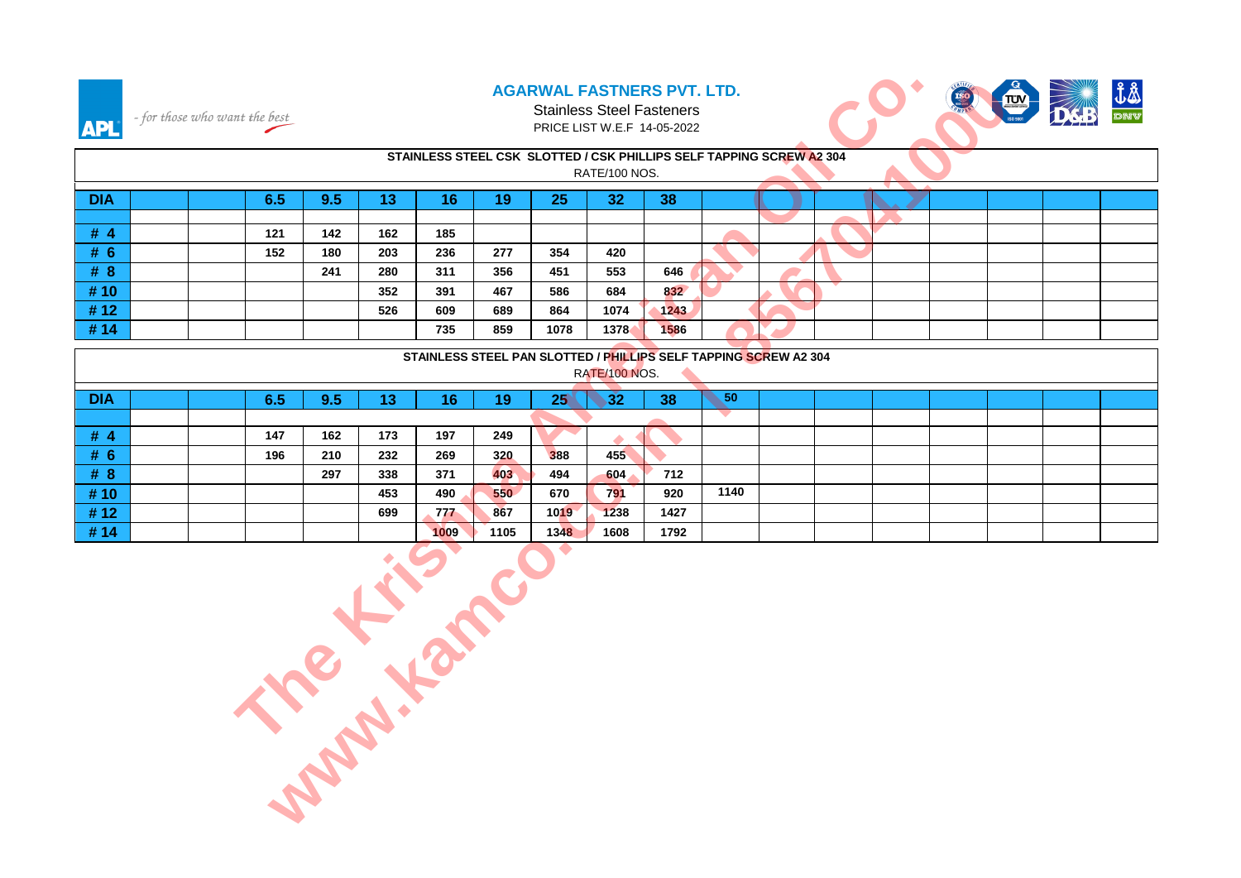#### **AGARWAL FASTNERS PVT. LTD.** Stainless Steel Fasteners



| <b>API</b>                           |                                                                                       | - for those who want the best |     | <b>AGARWAL FASTNERS PVT. LTD.</b><br><b>Stainless Steel Fasteners</b><br>PRICE LIST W.E.F 14-05-2022 |     |     |     |      |      |      |                 |  |  |  |  |  |
|--------------------------------------|---------------------------------------------------------------------------------------|-------------------------------|-----|------------------------------------------------------------------------------------------------------|-----|-----|-----|------|------|------|-----------------|--|--|--|--|--|
|                                      | STAINLESS STEEL CSK SLOTTED / CSK PHILLIPS SELF TAPPING SCREW A2 304<br>RATE/100 NOS. |                               |     |                                                                                                      |     |     |     |      |      |      |                 |  |  |  |  |  |
| <b>DIA</b>                           |                                                                                       |                               | 6.5 | 9.5                                                                                                  | 13  | 16  | 19  | 25   | 32   | 38   |                 |  |  |  |  |  |
|                                      |                                                                                       |                               |     |                                                                                                      |     |     |     |      |      |      |                 |  |  |  |  |  |
| #4                                   |                                                                                       |                               | 121 | 142                                                                                                  | 162 | 185 |     |      |      |      |                 |  |  |  |  |  |
| # 6                                  |                                                                                       |                               | 152 | 180                                                                                                  | 203 | 236 | 277 | 354  | 420  |      |                 |  |  |  |  |  |
| #8                                   |                                                                                       |                               |     | 241                                                                                                  | 280 | 311 | 356 | 451  | 553  | 646  |                 |  |  |  |  |  |
| #10                                  |                                                                                       |                               |     |                                                                                                      | 352 | 391 | 467 | 586  | 684  | 832  |                 |  |  |  |  |  |
| #12                                  |                                                                                       |                               |     |                                                                                                      | 526 | 609 | 689 | 864  | 1074 | 1243 |                 |  |  |  |  |  |
| #14                                  |                                                                                       |                               |     |                                                                                                      |     | 735 | 859 | 1078 | 1378 | 1586 |                 |  |  |  |  |  |
|                                      | STAINLESS STEEL PAN SLOTTED / PHILLIPS SELF TAPPING SCREW A2 304<br>RATE/100 NOS.     |                               |     |                                                                                                      |     |     |     |      |      |      |                 |  |  |  |  |  |
| <b>DIA</b>                           |                                                                                       |                               | 6.5 | 9.5                                                                                                  | 13  | 16  | 19  | 25   | 32   | 38   | 50 <sub>o</sub> |  |  |  |  |  |
|                                      |                                                                                       |                               |     |                                                                                                      |     |     |     |      |      |      |                 |  |  |  |  |  |
| # $4$                                |                                                                                       |                               | 147 | 162                                                                                                  | 173 | 197 | 249 |      |      |      |                 |  |  |  |  |  |
| # 6                                  |                                                                                       |                               | 196 | 210                                                                                                  | 232 | 269 | 320 | 388  | 455  |      |                 |  |  |  |  |  |
| #8                                   |                                                                                       |                               |     | 297                                                                                                  | 338 | 371 | 403 | 494  | 604  | 712  |                 |  |  |  |  |  |
| #10                                  |                                                                                       |                               |     |                                                                                                      | 453 | 490 | 550 | 670  | 791  | 920  | 1140            |  |  |  |  |  |
|                                      |                                                                                       |                               |     |                                                                                                      | 699 | 777 | 867 | 1019 | 1238 | 1427 |                 |  |  |  |  |  |
| #14                                  |                                                                                       |                               |     |                                                                                                      |     |     |     |      | 1608 | 1792 |                 |  |  |  |  |  |
| #12<br><b>Printing College River</b> |                                                                                       |                               |     |                                                                                                      |     |     |     |      |      |      |                 |  |  |  |  |  |

|            | STAINLESS STEEL PAN SLOTTED / PHILLIPS SELF TAPPING SCREW A2 304<br>RATE/100 NOS. |  |     |     |           |      |      |      |             |      |      |  |  |  |  |
|------------|-----------------------------------------------------------------------------------|--|-----|-----|-----------|------|------|------|-------------|------|------|--|--|--|--|
| <b>DIA</b> |                                                                                   |  | 6.5 | 9.5 | - 7<br>IJ | 16   | 19   | 25   | ריכי<br>.JZ | 38   | 50   |  |  |  |  |
|            |                                                                                   |  |     |     |           |      |      |      |             |      |      |  |  |  |  |
| #4         |                                                                                   |  | 147 | 162 | 173       | 197  | 249  |      |             |      |      |  |  |  |  |
| # 6        |                                                                                   |  | 196 | 210 | 232       | 269  | 320  | 388  | 455         |      |      |  |  |  |  |
| #8         |                                                                                   |  |     | 297 | 338       | 371  | 403  | 494  | 604         | 712  |      |  |  |  |  |
| #10        |                                                                                   |  |     |     | 453       | 490  | 550  | 670  | 791         | 920  | 1140 |  |  |  |  |
| #12        |                                                                                   |  |     |     | 699       | 777  | 867  | 1019 | 1238        | 1427 |      |  |  |  |  |
| #14        |                                                                                   |  |     |     |           | 1009 | 1105 | 1348 | 1608        | 1792 |      |  |  |  |  |